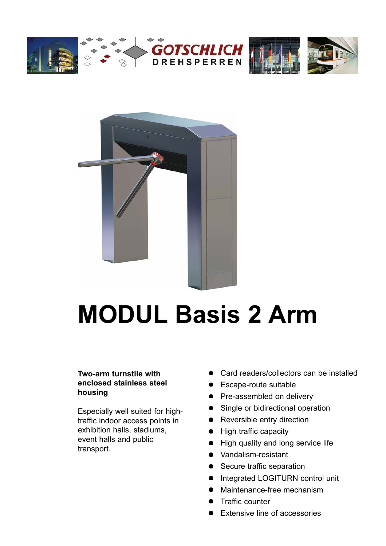







# **MODUL Basis 2 Arm**

### **Two-arm turnstile with enclosed stainless steel housing**

Especially well suited for hightraffic indoor access points in exhibition halls, stadiums, event halls and public transport.

- Card readers/collectors can be installed
- **Escape-route suitable**
- Pre-assembled on delivery
- Single or bidirectional operation
- Reversible entry direction
- High traffic capacity
- High quality and long service life
- Vandalism-resistant
- Secure traffic separation
- $\bullet$ Integrated LOGITURN control unit
- Maintenance-free mechanism
- Traffic counter
- Extensive line of accessories